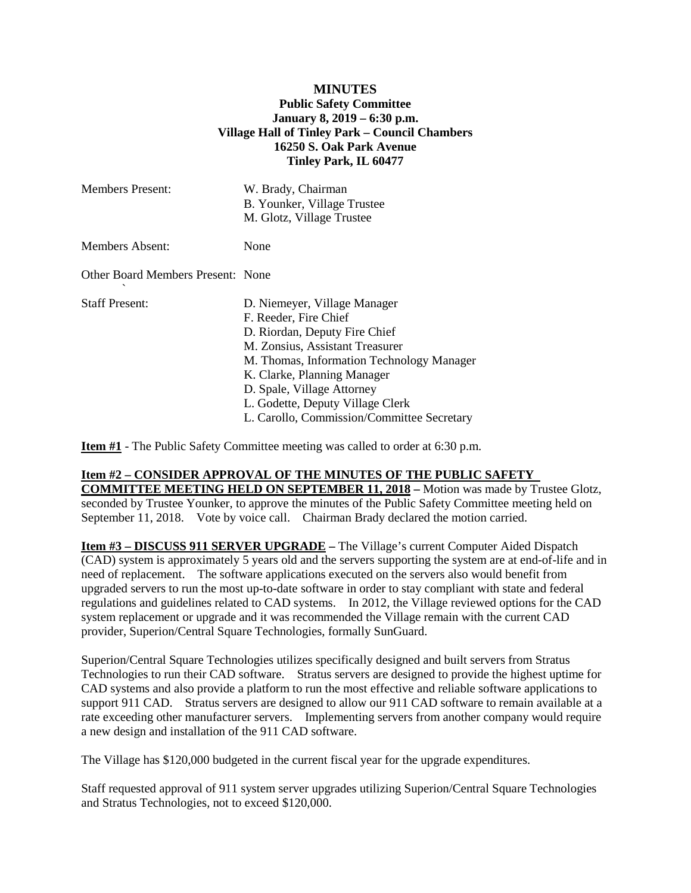### **MINUTES Public Safety Committee January 8, 2019 – 6:30 p.m. Village Hall of Tinley Park – Council Chambers 16250 S. Oak Park Avenue Tinley Park, IL 60477**

| <b>Members Present:</b>           | W. Brady, Chairman<br>B. Younker, Village Trustee<br>M. Glotz, Village Trustee                                                                                                                                                                                                                                        |
|-----------------------------------|-----------------------------------------------------------------------------------------------------------------------------------------------------------------------------------------------------------------------------------------------------------------------------------------------------------------------|
| Members Absent:                   | None                                                                                                                                                                                                                                                                                                                  |
| Other Board Members Present: None |                                                                                                                                                                                                                                                                                                                       |
| Staff Present:                    | D. Niemeyer, Village Manager<br>F. Reeder, Fire Chief<br>D. Riordan, Deputy Fire Chief<br>M. Zonsius, Assistant Treasurer<br>M. Thomas, Information Technology Manager<br>K. Clarke, Planning Manager<br>D. Spale, Village Attorney<br>L. Godette, Deputy Village Clerk<br>L. Carollo, Commission/Committee Secretary |

**Item #1** - The Public Safety Committee meeting was called to order at 6:30 p.m.

#### **Item #2 – CONSIDER APPROVAL OF THE MINUTES OF THE PUBLIC SAFETY**

**COMMITTEE MEETING HELD ON SEPTEMBER 11, 2018 –** Motion was made by Trustee Glotz, seconded by Trustee Younker, to approve the minutes of the Public Safety Committee meeting held on September 11, 2018. Vote by voice call. Chairman Brady declared the motion carried.

**Item #3 – DISCUSS 911 SERVER UPGRADE –** The Village's current Computer Aided Dispatch (CAD) system is approximately 5 years old and the servers supporting the system are at end-of-life and in need of replacement. The software applications executed on the servers also would benefit from upgraded servers to run the most up-to-date software in order to stay compliant with state and federal regulations and guidelines related to CAD systems. In 2012, the Village reviewed options for the CAD system replacement or upgrade and it was recommended the Village remain with the current CAD provider, Superion/Central Square Technologies, formally SunGuard.

Superion/Central Square Technologies utilizes specifically designed and built servers from Stratus Technologies to run their CAD software. Stratus servers are designed to provide the highest uptime for CAD systems and also provide a platform to run the most effective and reliable software applications to support 911 CAD. Stratus servers are designed to allow our 911 CAD software to remain available at a rate exceeding other manufacturer servers. Implementing servers from another company would require a new design and installation of the 911 CAD software.

The Village has \$120,000 budgeted in the current fiscal year for the upgrade expenditures.

Staff requested approval of 911 system server upgrades utilizing Superion/Central Square Technologies and Stratus Technologies, not to exceed \$120,000.